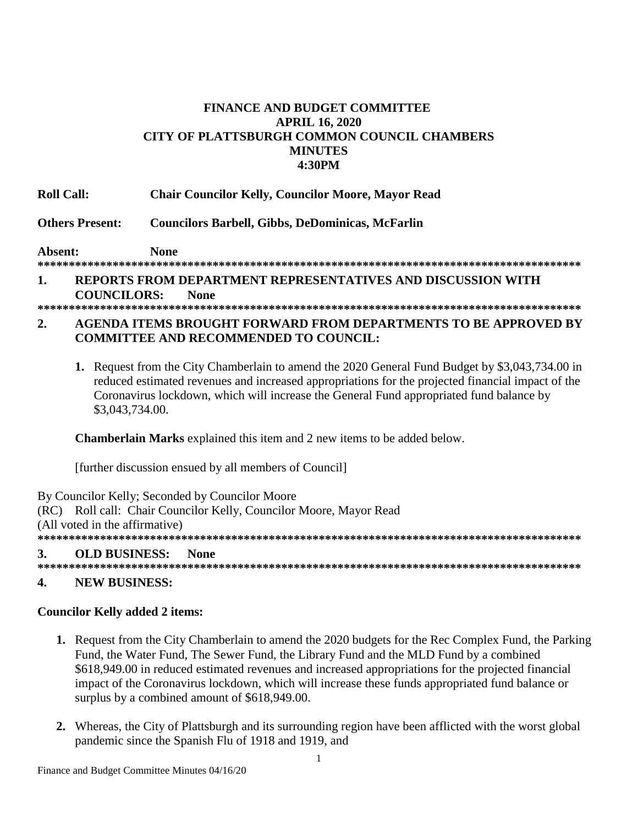#### **FINANCE AND BUDGET COMMITTEE APRIL 16, 2020 CITY OF PLATTSBURGH COMMON COUNCIL CHAMBERS MINUTES 4:30PM**

**Roll Call: Chair Councilor Kelly, Councilor Moore, Mayor Read**

**Others Present: Councilors Barbell, Gibbs, DeDominicas, McFarlin**

**Absent: None**

# **\*\*\*\*\*\*\*\*\*\*\*\*\*\*\*\*\*\*\*\*\*\*\*\*\*\*\*\*\*\*\*\*\*\*\*\*\*\*\*\*\*\*\*\*\*\*\*\*\*\*\*\*\*\*\*\*\*\*\*\*\*\*\*\*\*\*\*\*\*\*\*\*\*\*\*\*\*\*\*\*\*\*\*\*\*\*\***

#### **1. REPORTS FROM DEPARTMENT REPRESENTATIVES AND DISCUSSION WITH COUNCILORS: None**

**\*\*\*\*\*\*\*\*\*\*\*\*\*\*\*\*\*\*\*\*\*\*\*\*\*\*\*\*\*\*\*\*\*\*\*\*\*\*\*\*\*\*\*\*\*\*\*\*\*\*\*\*\*\*\*\*\*\*\*\*\*\*\*\*\*\*\*\*\*\*\*\*\*\*\*\*\*\*\*\*\*\*\*\*\*\*\***

#### **2. AGENDA ITEMS BROUGHT FORWARD FROM DEPARTMENTS TO BE APPROVED BY COMMITTEE AND RECOMMENDED TO COUNCIL:**

**1.** Request from the City Chamberlain to amend the 2020 General Fund Budget by \$3,043,734.00 in reduced estimated revenues and increased appropriations for the projected financial impact of the Coronavirus lockdown, which will increase the General Fund appropriated fund balance by \$3,043,734.00.

**Chamberlain Marks** explained this item and 2 new items to be added below.

[further discussion ensued by all members of Council]

By Councilor Kelly; Seconded by Councilor Moore (RC) Roll call: Chair Councilor Kelly, Councilor Moore, Mayor Read (All voted in the affirmative) **\*\*\*\*\*\*\*\*\*\*\*\*\*\*\*\*\*\*\*\*\*\*\*\*\*\*\*\*\*\*\*\*\*\*\*\*\*\*\*\*\*\*\*\*\*\*\*\*\*\*\*\*\*\*\*\*\*\*\*\*\*\*\*\*\*\*\*\*\*\*\*\*\*\*\*\*\*\*\*\*\*\*\*\*\*\*\* 3. OLD BUSINESS: None**

# **\*\*\*\*\*\*\*\*\*\*\*\*\*\*\*\*\*\*\*\*\*\*\*\*\*\*\*\*\*\*\*\*\*\*\*\*\*\*\*\*\*\*\*\*\*\*\*\*\*\*\*\*\*\*\*\*\*\*\*\*\*\*\*\*\*\*\*\*\*\*\*\*\*\*\*\*\*\*\*\*\*\*\*\*\*\*\***

## **4. NEW BUSINESS:**

## **Councilor Kelly added 2 items:**

- **1.** Request from the City Chamberlain to amend the 2020 budgets for the Rec Complex Fund, the Parking Fund, the Water Fund, The Sewer Fund, the Library Fund and the MLD Fund by a combined \$618,949.00 in reduced estimated revenues and increased appropriations for the projected financial impact of the Coronavirus lockdown, which will increase these funds appropriated fund balance or surplus by a combined amount of \$618,949.00.
- **2.** Whereas, the City of Plattsburgh and its surrounding region have been afflicted with the worst global pandemic since the Spanish Flu of 1918 and 1919, and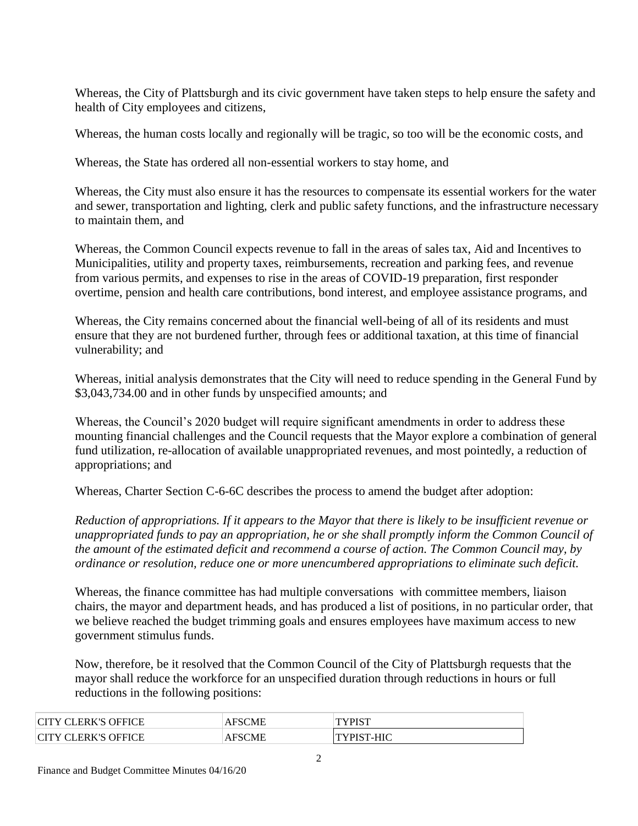Whereas, the City of Plattsburgh and its civic government have taken steps to help ensure the safety and health of City employees and citizens,

Whereas, the human costs locally and regionally will be tragic, so too will be the economic costs, and

Whereas, the State has ordered all non-essential workers to stay home, and

Whereas, the City must also ensure it has the resources to compensate its essential workers for the water and sewer, transportation and lighting, clerk and public safety functions, and the infrastructure necessary to maintain them, and

Whereas, the Common Council expects revenue to fall in the areas of sales tax, Aid and Incentives to Municipalities, utility and property taxes, reimbursements, recreation and parking fees, and revenue from various permits, and expenses to rise in the areas of COVID-19 preparation, first responder overtime, pension and health care contributions, bond interest, and employee assistance programs, and

Whereas, the City remains concerned about the financial well-being of all of its residents and must ensure that they are not burdened further, through fees or additional taxation, at this time of financial vulnerability; and

Whereas, initial analysis demonstrates that the City will need to reduce spending in the General Fund by \$3,043,734.00 and in other funds by unspecified amounts; and

Whereas, the Council's 2020 budget will require significant amendments in order to address these mounting financial challenges and the Council requests that the Mayor explore a combination of general fund utilization, re-allocation of available unappropriated revenues, and most pointedly, a reduction of appropriations; and

Whereas, Charter Section C-6-6C describes the process to amend the budget after adoption:

*Reduction of appropriations. If it appears to the Mayor that there is likely to be insufficient revenue or unappropriated funds to pay an appropriation, he or she shall promptly inform the Common Council of the amount of the estimated deficit and recommend a course of action. The Common Council may, by ordinance or resolution, reduce one or more unencumbered appropriations to eliminate such deficit.*

Whereas, the finance committee has had multiple conversations with committee members, liaison chairs, the mayor and department heads, and has produced a list of positions, in no particular order, that we believe reached the budget trimming goals and ensures employees have maximum access to new government stimulus funds.

Now, therefore, be it resolved that the Common Council of the City of Plattsburgh requests that the mayor shall reduce the workforce for an unspecified duration through reductions in hours or full reductions in the following positions:

| <b>TLERK'S C.</b><br>OEEICE                                         | SCME<br>AF. | דים זחי |
|---------------------------------------------------------------------|-------------|---------|
| $\cap$ tt<br>OEEICE<br>$T^{\gamma}$ in $\mathbb{C}$ .<br><b>ERK</b> | CME         | -HIC    |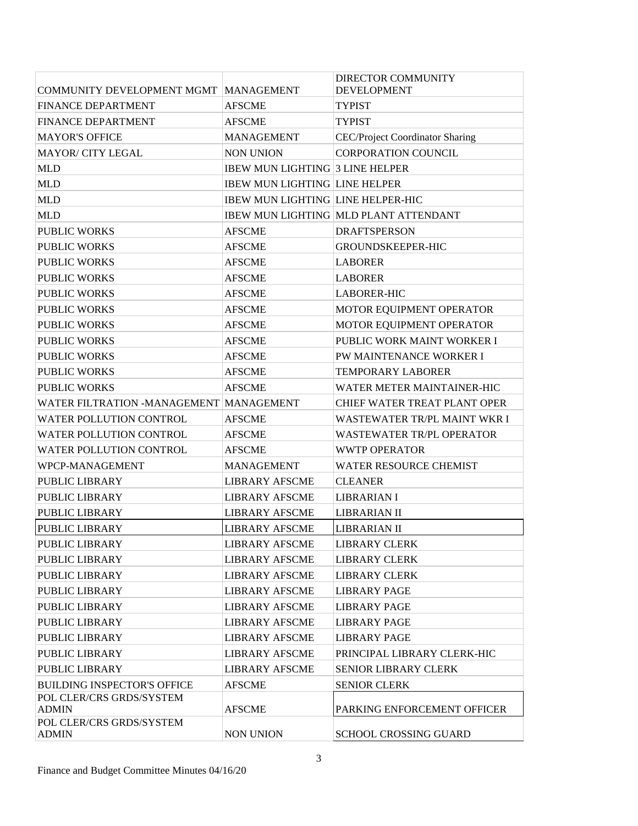| COMMUNITY DEVELOPMENT MGMT MANAGEMENT    |                                          | DIRECTOR COMMUNITY<br><b>DEVELOPMENT</b>     |
|------------------------------------------|------------------------------------------|----------------------------------------------|
| <b>FINANCE DEPARTMENT</b>                | <b>AFSCME</b>                            | <b>TYPIST</b>                                |
| <b>FINANCE DEPARTMENT</b>                | <b>AFSCME</b>                            | <b>TYPIST</b>                                |
| <b>MAYOR'S OFFICE</b>                    | <b>MANAGEMENT</b>                        | <b>CEC/Project Coordinator Sharing</b>       |
| <b>MAYOR/ CITY LEGAL</b>                 | <b>NON UNION</b>                         | <b>CORPORATION COUNCIL</b>                   |
| <b>MLD</b>                               | <b>IBEW MUN LIGHTING 3 LINE HELPER</b>   |                                              |
| <b>MLD</b>                               | <b>IBEW MUN LIGHTING LINE HELPER</b>     |                                              |
| <b>MLD</b>                               | <b>IBEW MUN LIGHTING LINE HELPER-HIC</b> |                                              |
| <b>MLD</b>                               |                                          | <b>IBEW MUN LIGHTING MLD PLANT ATTENDANT</b> |
| <b>PUBLIC WORKS</b>                      | <b>AFSCME</b>                            | <b>DRAFTSPERSON</b>                          |
| <b>PUBLIC WORKS</b>                      | <b>AFSCME</b>                            | <b>GROUNDSKEEPER-HIC</b>                     |
| <b>PUBLIC WORKS</b>                      | <b>AFSCME</b>                            | <b>LABORER</b>                               |
| <b>PUBLIC WORKS</b>                      | <b>AFSCME</b>                            | <b>LABORER</b>                               |
| <b>PUBLIC WORKS</b>                      | <b>AFSCME</b>                            | <b>LABORER-HIC</b>                           |
| <b>PUBLIC WORKS</b>                      | <b>AFSCME</b>                            | MOTOR EQUIPMENT OPERATOR                     |
| <b>PUBLIC WORKS</b>                      | <b>AFSCME</b>                            | MOTOR EQUIPMENT OPERATOR                     |
| <b>PUBLIC WORKS</b>                      | <b>AFSCME</b>                            | PUBLIC WORK MAINT WORKER I                   |
| PUBLIC WORKS                             | <b>AFSCME</b>                            | <b>PW MAINTENANCE WORKER I</b>               |
| <b>PUBLIC WORKS</b>                      | <b>AFSCME</b>                            | <b>TEMPORARY LABORER</b>                     |
| <b>PUBLIC WORKS</b>                      | <b>AFSCME</b>                            | WATER METER MAINTAINER-HIC                   |
| WATER FILTRATION -MANAGEMENT MANAGEMENT  |                                          | <b>CHIEF WATER TREAT PLANT OPER</b>          |
| <b>WATER POLLUTION CONTROL</b>           | <b>AFSCME</b>                            | WASTEWATER TR/PL MAINT WKR I                 |
| WATER POLLUTION CONTROL                  | <b>AFSCME</b>                            | <b>WASTEWATER TR/PL OPERATOR</b>             |
| WATER POLLUTION CONTROL                  | <b>AFSCME</b>                            | <b>WWTP OPERATOR</b>                         |
| WPCP-MANAGEMENT                          | <b>MANAGEMENT</b>                        | WATER RESOURCE CHEMIST                       |
| <b>PUBLIC LIBRARY</b>                    | <b>LIBRARY AFSCME</b>                    | <b>CLEANER</b>                               |
| PUBLIC LIBRARY                           | <b>LIBRARY AFSCME</b>                    | <b>LIBRARIAN I</b>                           |
| PUBLIC LIBRARY                           | <b>LIBRARY AFSCME</b>                    | <b>LIBRARIAN II</b>                          |
| PUBLIC LIBRARY                           | <b>LIBRARY AFSCME</b>                    | <b>LIBRARIAN II</b>                          |
| PUBLIC LIBRARY                           | <b>LIBRARY AFSCME</b>                    | <b>LIBRARY CLERK</b>                         |
| PUBLIC LIBRARY                           | <b>LIBRARY AFSCME</b>                    | <b>LIBRARY CLERK</b>                         |
| <b>PUBLIC LIBRARY</b>                    | <b>LIBRARY AFSCME</b>                    | <b>LIBRARY CLERK</b>                         |
| PUBLIC LIBRARY                           | <b>LIBRARY AFSCME</b>                    | <b>LIBRARY PAGE</b>                          |
| <b>PUBLIC LIBRARY</b>                    | <b>LIBRARY AFSCME</b>                    | <b>LIBRARY PAGE</b>                          |
| PUBLIC LIBRARY                           | <b>LIBRARY AFSCME</b>                    | <b>LIBRARY PAGE</b>                          |
| PUBLIC LIBRARY                           | <b>LIBRARY AFSCME</b>                    | <b>LIBRARY PAGE</b>                          |
| PUBLIC LIBRARY                           | <b>LIBRARY AFSCME</b>                    | PRINCIPAL LIBRARY CLERK-HIC                  |
| PUBLIC LIBRARY                           | <b>LIBRARY AFSCME</b>                    | <b>SENIOR LIBRARY CLERK</b>                  |
| <b>BUILDING INSPECTOR'S OFFICE</b>       | <b>AFSCME</b>                            | <b>SENIOR CLERK</b>                          |
| POL CLER/CRS GRDS/SYSTEM<br><b>ADMIN</b> | <b>AFSCME</b>                            | PARKING ENFORCEMENT OFFICER                  |
| POL CLER/CRS GRDS/SYSTEM<br><b>ADMIN</b> | <b>NON UNION</b>                         | SCHOOL CROSSING GUARD                        |
|                                          |                                          |                                              |